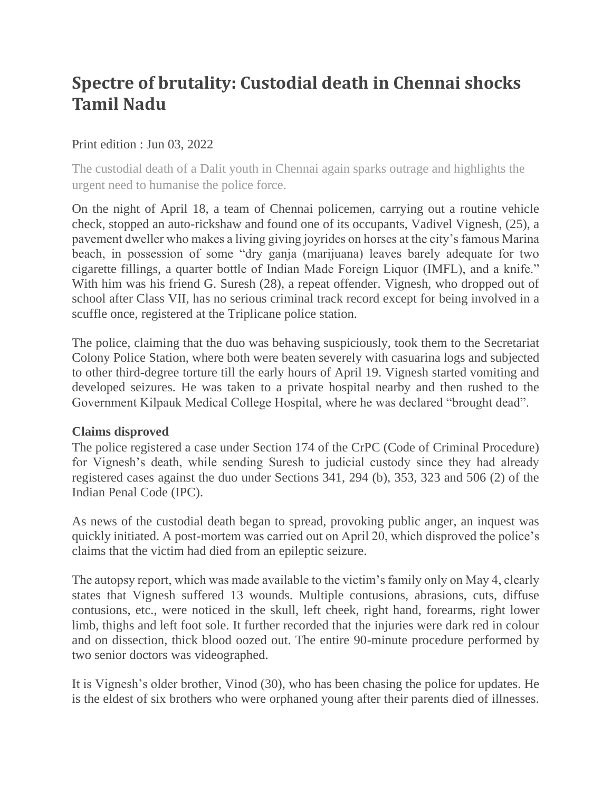# **Spectre of brutality: Custodial death in Chennai shocks Tamil Nadu**

## Print edition : Jun 03, 2022

The custodial death of a Dalit youth in Chennai again sparks outrage and highlights the urgent need to humanise the police force.

On the night of April 18, a team of Chennai policemen, carrying out a routine vehicle check, stopped an auto-rickshaw and found one of its occupants, Vadivel Vignesh, (25), a pavement dweller who makes a living giving joyrides on horses at the city's famous Marina beach, in possession of some "dry ganja (marijuana) leaves barely adequate for two cigarette fillings, a quarter bottle of Indian Made Foreign Liquor (IMFL), and a knife." With him was his friend G. Suresh (28), a repeat offender. Vignesh, who dropped out of school after Class VII, has no serious criminal track record except for being involved in a scuffle once, registered at the Triplicane police station.

The police, claiming that the duo was behaving suspiciously, took them to the Secretariat Colony Police Station, where both were beaten severely with casuarina logs and subjected to other third-degree torture till the early hours of April 19. Vignesh started vomiting and developed seizures. He was taken to a private hospital nearby and then rushed to the Government Kilpauk Medical College Hospital, where he was declared "brought dead".

#### **Claims disproved**

The police registered a case under Section 174 of the CrPC (Code of Criminal Procedure) for Vignesh's death, while sending Suresh to judicial custody since they had already registered cases against the duo under Sections 341, 294 (b), 353, 323 and 506 (2) of the Indian Penal Code (IPC).

As news of the custodial death began to spread, provoking public anger, an inquest was quickly initiated. A post-mortem was carried out on April 20, which disproved the police's claims that the victim had died from an epileptic seizure.

The autopsy report, which was made available to the victim's family only on May 4, clearly states that Vignesh suffered 13 wounds. Multiple contusions, abrasions, cuts, diffuse contusions, etc., were noticed in the skull, left cheek, right hand, forearms, right lower limb, thighs and left foot sole. It further recorded that the injuries were dark red in colour and on dissection, thick blood oozed out. The entire 90-minute procedure performed by two senior doctors was videographed.

It is Vignesh's older brother, Vinod (30), who has been chasing the police for updates. He is the eldest of six brothers who were orphaned young after their parents died of illnesses.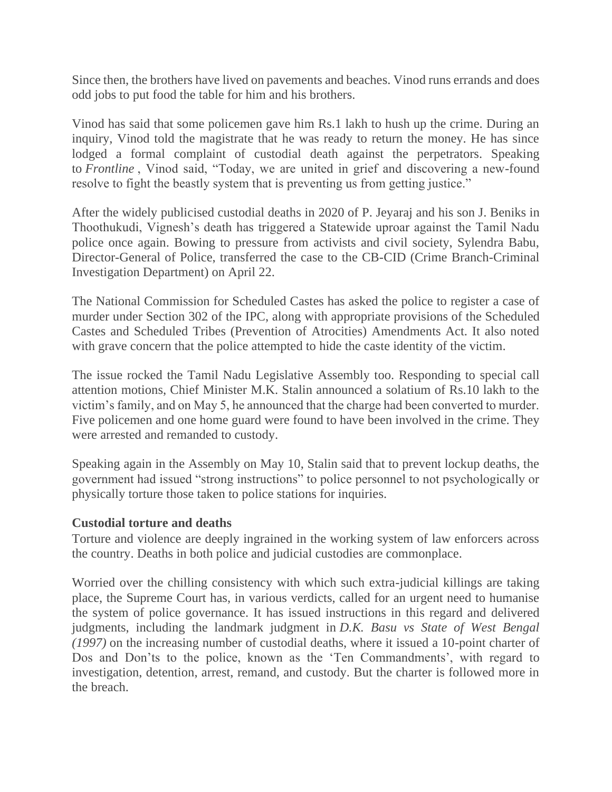Since then, the brothers have lived on pavements and beaches. Vinod runs errands and does odd jobs to put food the table for him and his brothers.

Vinod has said that some policemen gave him Rs.1 lakh to hush up the crime. During an inquiry, Vinod told the magistrate that he was ready to return the money. He has since lodged a formal complaint of custodial death against the perpetrators. Speaking to *Frontline* , Vinod said, "Today, we are united in grief and discovering a new-found resolve to fight the beastly system that is preventing us from getting justice."

After the widely publicised custodial deaths in 2020 of P. Jeyaraj and his son J. Beniks in Thoothukudi, Vignesh's death has triggered a Statewide uproar against the Tamil Nadu police once again. Bowing to pressure from activists and civil society, Sylendra Babu, Director-General of Police, transferred the case to the CB-CID (Crime Branch-Criminal Investigation Department) on April 22.

The National Commission for Scheduled Castes has asked the police to register a case of murder under Section 302 of the IPC, along with appropriate provisions of the Scheduled Castes and Scheduled Tribes (Prevention of Atrocities) Amendments Act. It also noted with grave concern that the police attempted to hide the caste identity of the victim.

The issue rocked the Tamil Nadu Legislative Assembly too. Responding to special call attention motions, Chief Minister M.K. Stalin announced a solatium of Rs.10 lakh to the victim's family, and on May 5, he announced that the charge had been converted to murder. Five policemen and one home guard were found to have been involved in the crime. They were arrested and remanded to custody.

Speaking again in the Assembly on May 10, Stalin said that to prevent lockup deaths, the government had issued "strong instructions" to police personnel to not psychologically or physically torture those taken to police stations for inquiries.

#### **Custodial torture and deaths**

Torture and violence are deeply ingrained in the working system of law enforcers across the country. Deaths in both police and judicial custodies are commonplace.

Worried over the chilling consistency with which such extra-judicial killings are taking place, the Supreme Court has, in various verdicts, called for an urgent need to humanise the system of police governance. It has issued instructions in this regard and delivered judgments, including the landmark judgment in *D.K. Basu vs State of West Bengal (1997)* on the increasing number of custodial deaths, where it issued a 10-point charter of Dos and Don'ts to the police, known as the 'Ten Commandments', with regard to investigation, detention, arrest, remand, and custody. But the charter is followed more in the breach.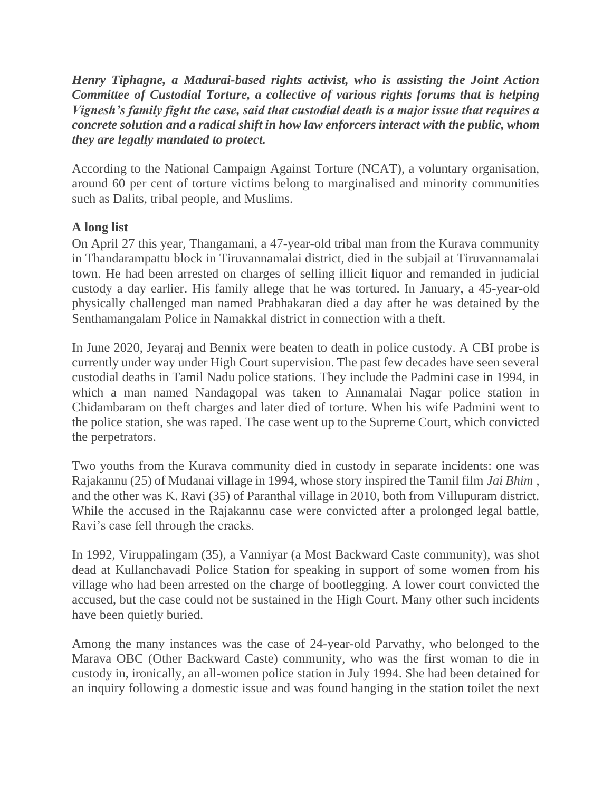*Henry Tiphagne, a Madurai-based rights activist, who is assisting the Joint Action Committee of Custodial Torture, a collective of various rights forums that is helping Vignesh's family fight the case, said that custodial death is a major issue that requires a concrete solution and a radical shift in how law enforcers interact with the public, whom they are legally mandated to protect.*

According to the National Campaign Against Torture (NCAT), a voluntary organisation, around 60 per cent of torture victims belong to marginalised and minority communities such as Dalits, tribal people, and Muslims.

# **A long list**

On April 27 this year, Thangamani, a 47-year-old tribal man from the Kurava community in Thandarampattu block in Tiruvannamalai district, died in the subjail at Tiruvannamalai town. He had been arrested on charges of selling illicit liquor and remanded in judicial custody a day earlier. His family allege that he was tortured. In January, a 45-year-old physically challenged man named Prabhakaran died a day after he was detained by the Senthamangalam Police in Namakkal district in connection with a theft.

In June 2020, Jeyaraj and Bennix were beaten to death in police custody. A CBI probe is currently under way under High Court supervision. The past few decades have seen several custodial deaths in Tamil Nadu police stations. They include the Padmini case in 1994, in which a man named Nandagopal was taken to Annamalai Nagar police station in Chidambaram on theft charges and later died of torture. When his wife Padmini went to the police station, she was raped. The case went up to the Supreme Court, which convicted the perpetrators.

Two youths from the Kurava community died in custody in separate incidents: one was Rajakannu (25) of Mudanai village in 1994, whose story inspired the Tamil film *Jai Bhim* , and the other was K. Ravi (35) of Paranthal village in 2010, both from Villupuram district. While the accused in the Rajakannu case were convicted after a prolonged legal battle, Ravi's case fell through the cracks.

In 1992, Viruppalingam (35), a Vanniyar (a Most Backward Caste community), was shot dead at Kullanchavadi Police Station for speaking in support of some women from his village who had been arrested on the charge of bootlegging. A lower court convicted the accused, but the case could not be sustained in the High Court. Many other such incidents have been quietly buried.

Among the many instances was the case of 24-year-old Parvathy, who belonged to the Marava OBC (Other Backward Caste) community, who was the first woman to die in custody in, ironically, an all-women police station in July 1994. She had been detained for an inquiry following a domestic issue and was found hanging in the station toilet the next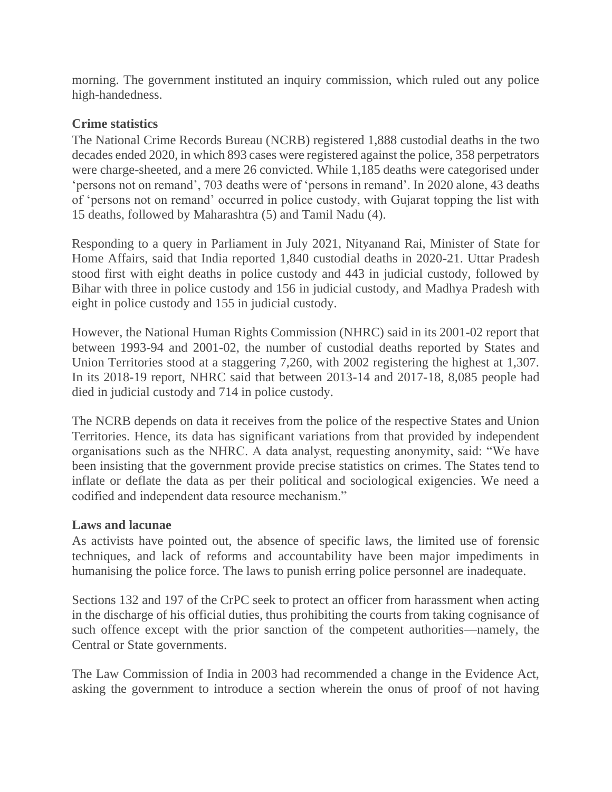morning. The government instituted an inquiry commission, which ruled out any police high-handedness.

## **Crime statistics**

The National Crime Records Bureau (NCRB) registered 1,888 custodial deaths in the two decades ended 2020, in which 893 cases were registered against the police, 358 perpetrators were charge-sheeted, and a mere 26 convicted. While 1,185 deaths were categorised under 'persons not on remand', 703 deaths were of 'persons in remand'. In 2020 alone, 43 deaths of 'persons not on remand' occurred in police custody, with Gujarat topping the list with 15 deaths, followed by Maharashtra (5) and Tamil Nadu (4).

Responding to a query in Parliament in July 2021, Nityanand Rai, Minister of State for Home Affairs, said that India reported 1,840 custodial deaths in 2020-21. Uttar Pradesh stood first with eight deaths in police custody and 443 in judicial custody, followed by Bihar with three in police custody and 156 in judicial custody, and Madhya Pradesh with eight in police custody and 155 in judicial custody.

However, the National Human Rights Commission (NHRC) said in its 2001-02 report that between 1993-94 and 2001-02, the number of custodial deaths reported by States and Union Territories stood at a staggering 7,260, with 2002 registering the highest at 1,307. In its 2018-19 report, NHRC said that between 2013-14 and 2017-18, 8,085 people had died in judicial custody and 714 in police custody.

The NCRB depends on data it receives from the police of the respective States and Union Territories. Hence, its data has significant variations from that provided by independent organisations such as the NHRC. A data analyst, requesting anonymity, said: "We have been insisting that the government provide precise statistics on crimes. The States tend to inflate or deflate the data as per their political and sociological exigencies. We need a codified and independent data resource mechanism."

#### **Laws and lacunae**

As activists have pointed out, the absence of specific laws, the limited use of forensic techniques, and lack of reforms and accountability have been major impediments in humanising the police force. The laws to punish erring police personnel are inadequate.

Sections 132 and 197 of the CrPC seek to protect an officer from harassment when acting in the discharge of his official duties, thus prohibiting the courts from taking cognisance of such offence except with the prior sanction of the competent authorities—namely, the Central or State governments.

The Law Commission of India in 2003 had recommended a change in the Evidence Act, asking the government to introduce a section wherein the onus of proof of not having